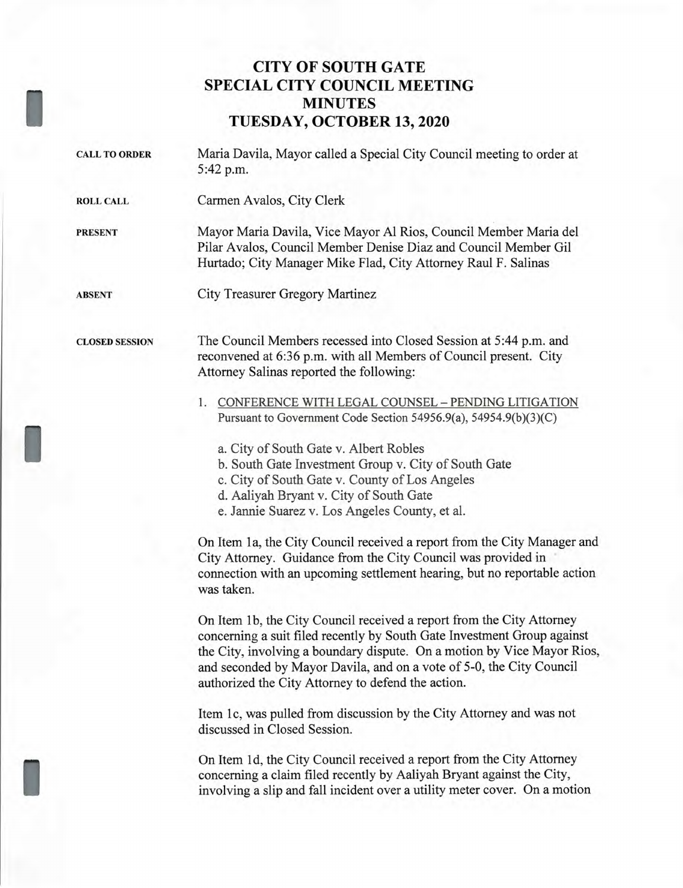## **CITY OF SOUTH GATE SPECIAL CITY COUNCIL MEETING MINUTES TUESDAY, OCTOBER 13, 2020**

CALL TO ORDER Maria Davila, Mayor called a Special City Council meeting to order at 5:42 p.m.

ROLL CALL Carmen Avalos, City Clerk

PRESENT Mayor Maria Davila, Vice Mayor Al Rios, Council Member Maria del Pilar Avalos, Council Member Denise Diaz and Council Member Gil Hurtado; City Manager Mike Flad, City Attorney Raul F. Salinas

ABSENT City Treasurer Gregory Martinez

CLOSED SESSION

I

I

The Council Members recessed into Closed Session at 5:44 p.m. and reconvened at 6:36 p.m. with all Members of Council present. City Attorney Salinas reported the following:

- 1. CONFERENCE WITH LEGAL COUNSEL PENDING LITIGATION Pursuant to Government Code Section 54956.9(a), 54954.9(b)(3)(C)
	- a. City of South Gate v. Albert Robles
	- b. South Gate Investment Group v. City of South Gate
	- c. City of South Gate v. County of Los Angeles
	- d. Aaliyah Bryant v. City of South Gate
	- e. Jannie Suarez v. Los Angeles County, et al.

On Item 1a, the City Council received a report from the City Manager and City Attorney. Guidance from the City Council was provided in connection with an upcoming settlement hearing, but no reportable action was taken.

On Item 1b, the City Council received a report from the City Attorney concerning a suit filed recently by South Gate Investment Group against the City, involving a boundary dispute. On a motion by Vice Mayor Rios, and seconded by Mayor Davila, and on a vote of 5-0, the City Council authorized the City Attorney to defend the action.

Item 1c, was pulled from discussion by the City Attorney and was not discussed in Closed Session.

On Item 1d, the City Council received a report from the City Attorney concerning a claim filed recently by Aaliyah Bryant against the City, involving a slip and fall incident over a utility meter cover. On a motion